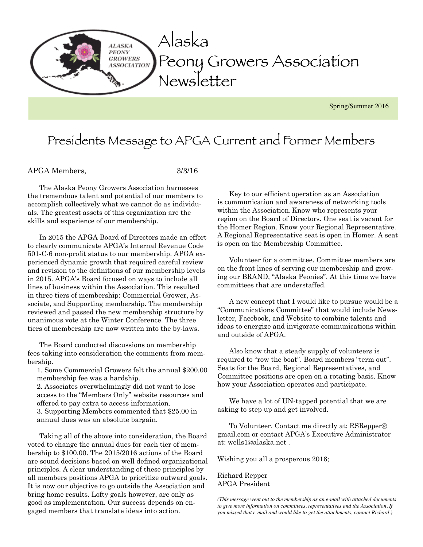

### Presidents Message to APGA Current and Former Members

#### APGA Members, 3/3/16

The Alaska Peony Growers Association harnesses the tremendous talent and potential of our members to accomplish collectively what we cannot do as individuals. The greatest assets of this organization are the skills and experience of our membership.

In 2015 the APGA Board of Directors made an effort to clearly communicate APGA's Internal Revenue Code 501-C-6 non-profit status to our membership. APGA experienced dynamic growth that required careful review and revision to the definitions of our membership levels in 2015. APGA's Board focused on ways to include all lines of business within the Association. This resulted in three tiers of membership: Commercial Grower, Associate, and Supporting membership. The membership reviewed and passed the new membership structure by unanimous vote at the Winter Conference. The three tiers of membership are now written into the by-laws.

The Board conducted discussions on membership fees taking into consideration the comments from membership.

1. Some Commercial Growers felt the annual \$200.00 membership fee was a hardship.

2. Associates overwhelmingly did not want to lose access to the "Members Only" website resources and offered to pay extra to access information. 3. Supporting Members commented that \$25.00 in annual dues was an absolute bargain.

Taking all of the above into consideration, the Board voted to change the annual dues for each tier of membership to \$100.00. The 2015/2016 actions of the Board are sound decisions based on well defined organizational principles. A clear understanding of these principles by all members positions APGA to prioritize outward goals. It is now our objective to go outside the Association and bring home results. Lofty goals however, are only as good as implementation. Our success depends on engaged members that translate ideas into action.

Key to our efficient operation as an Association is communication and awareness of networking tools within the Association. Know who represents your region on the Board of Directors. One seat is vacant for the Homer Region. Know your Regional Representative. A Regional Representative seat is open in Homer. A seat is open on the Membership Committee.

Volunteer for a committee. Committee members are on the front lines of serving our membership and growing our BRAND, "Alaska Peonies". At this time we have committees that are understaffed.

A new concept that I would like to pursue would be a "Communications Committee" that would include Newsletter, Facebook, and Website to combine talents and ideas to energize and invigorate communications within and outside of APGA.

Also know that a steady supply of volunteers is required to "row the boat". Board members "term out". Seats for the Board, Regional Representatives, and Committee positions are open on a rotating basis. Know how your Association operates and participate.

We have a lot of UN-tapped potential that we are asking to step up and get involved.

To Volunteer. Contact me directly at: RSRepper@ gmail.com or contact APGA's Executive Administrator at: wells1@alaska.net .

Wishing you all a prosperous 2016;

Richard Repper APGA President

*(This message went out to the membership as an e-mail with attached documents to give more information on committees, representatives and the Association. If you missed that e-mail and would like to get the attachments, contact Richard.)*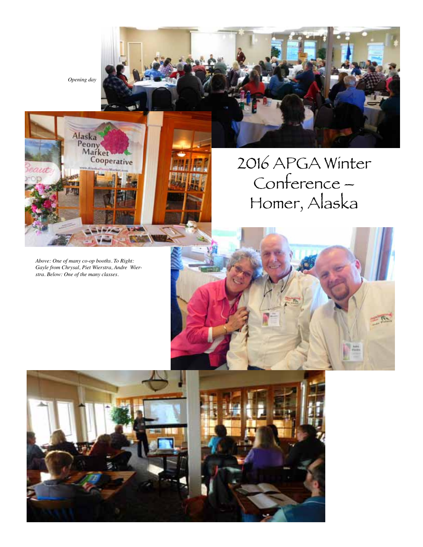*Opening day*

Alaska<br>Peony<br>Market<br>Cooperative

## 2016 APGA Winter Conference – Homer, Alaska

*Above: One of many co-op booths. To Right: Gayle from Chrysal, Piet Wierstra, Andre Wierstra. Below: One of the many classes.* 

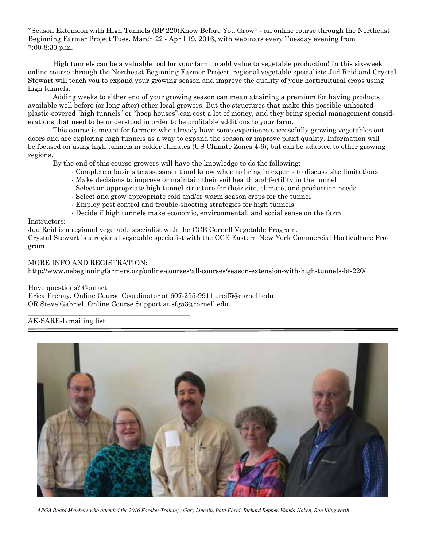\*Season Extension with High Tunnels (BF 220)Know Before You Grow\* - an online course through the Northeast Beginning Farmer Project Tues. March 22 - April 19, 2016, with webinars every Tuesday evening from 7:00-8:30 p.m.

High tunnels can be a valuable tool for your farm to add value to vegetable production! In this six-week online course through the Northeast Beginning Farmer Project, regional vegetable specialists Jud Reid and Crystal Stewart will teach you to expand your growing season and improve the quality of your horticultural crops using high tunnels.

Adding weeks to either end of your growing season can mean attaining a premium for having products available well before (or long after) other local growers. But the structures that make this possible-unheated plastic-covered "high tunnels" or "hoop houses"-can cost a lot of money, and they bring special management considerations that need to be understood in order to be profitable additions to your farm.

This course is meant for farmers who already have some experience successfully growing vegetables outdoors and are exploring high tunnels as a way to expand the season or improve plant quality. Information will be focused on using high tunnels in colder climates (US Climate Zones 4-6), but can be adapted to other growing regions.

By the end of this course growers will have the knowledge to do the following:

- Complete a basic site assessment and know when to bring in experts to discuss site limitations
- Make decisions to improve or maintain their soil health and fertility in the tunnel
- Select an appropriate high tunnel structure for their site, climate, and production needs
- Select and grow appropriate cold and/or warm season crops for the tunnel
- Employ pest control and trouble-shooting strategies for high tunnels
- Decide if high tunnels make economic, environmental, and social sense on the farm

#### Instructors:

Jud Reid is a regional vegetable specialist with the CCE Cornell Vegetable Program.

Crystal Stewart is a regional vegetable specialist with the CCE Eastern New York Commercial Horticulture Program.

#### MORE INFO AND REGISTRATION:

\_\_\_\_\_\_\_\_\_\_\_\_\_\_\_\_\_\_\_\_\_\_\_\_\_\_\_\_\_\_\_\_\_\_\_\_\_\_\_\_\_\_\_\_\_\_\_

http://www.nebeginningfarmers.org/online-courses/all-courses/season-extension-with-high-tunnels-bf-220/

Have questions? Contact:

Erica Frenay, Online Course Coordinator at 607-255-9911 orejf5@cornell.edu OR Steve Gabriel, Online Course Support at sfg53@cornell.edu

#### AK-SARE-L mailing list



*APGA Board Members who attended the 2016 Foraker Training: Gary Lincoln, Patti Floyd, Richard Repper, Wanda Haken, Ron Illingworth*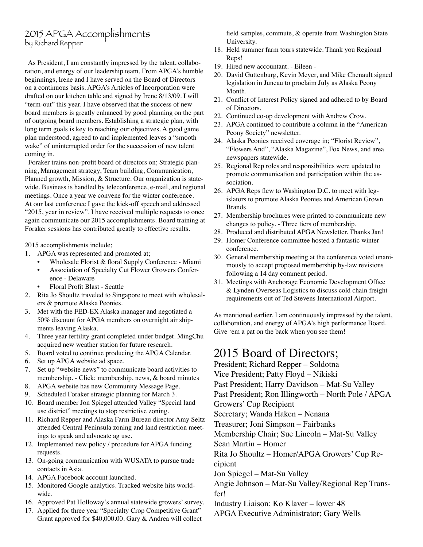#### 2015 APGA Accomplishments by Richard Repper

 As President, I am constantly impressed by the talent, collaboration, and energy of our leadership team. From APGA's humble beginnings, Irene and I have served on the Board of Directors on a continuous basis. APGA's Articles of Incorporation were drafted on our kitchen table and signed by Irene 8/13/09. I will "term-out" this year. I have observed that the success of new board members is greatly enhanced by good planning on the part of outgoing board members. Establishing a strategic plan, with long term goals is key to reaching our objectives. A good game plan understood, agreed to and implemented leaves a "smooth wake" of uninterrupted order for the succession of new talent coming in.

 Foraker trains non-profit board of directors on; Strategic planning, Management strategy, Team building, Communication, Planned growth, Mission, & Structure. Our organization is statewide. Business is handled by teleconference, e-mail, and regional meetings. Once a year we convene for the winter conference. At our last conference I gave the kick-off speech and addressed "2015, year in review". I have received multiple requests to once again communicate our 2015 accomplishments. Board training at Foraker sessions has contributed greatly to effective results.

2015 accomplishments include;

- 1. APGA was represented and promoted at;
	- Wholesale Florist & floral Supply Conference Miami
	- Association of Specialty Cut Flower Growers Conference - Delaware
	- Floral Profit Blast Seattle
- 2. Rita Jo Shoultz traveled to Singapore to meet with wholesalers & promote Alaska Peonies.
- 3. Met with the FED-EX Alaska manager and negotiated a 50% discount for APGA members on overnight air shipments leaving Alaska.
- 4. Three year fertility grant completed under budget. MingChu acquired new weather station for future research.
- 5. Board voted to continue producing the APGA Calendar.
- 6. Set up APGA website ad space.
- 7. Set up "website news" to communicate board activities to membership. - Click; membership, news, & board minutes
- 8. APGA website has new Community Message Page.
- 9. Scheduled Foraker strategic planning for March 3.
- 10. Board member Jon Spiegel attended Valley "Special land use district" meetings to stop restrictive zoning.
- 11. Richard Repper and Alaska Farm Bureau director Amy Seitz attended Central Peninsula zoning and land restriction meetings to speak and advocate ag use.
- 12. Implemented new policy / procedure for APGA funding requests.
- 13. On-going communication with WUSATA to pursue trade contacts in Asia.
- 14. APGA Facebook account launched.
- 15. Monitored Google analytics. Tracked website hits worldwide.
- 16. Approved Pat Holloway's annual statewide growers' survey.
- 17. Applied for three year "Specialty Crop Competitive Grant" Grant approved for \$40,000.00. Gary & Andrea will collect

field samples, commute, & operate from Washington State University.

- 18. Held summer farm tours statewide. Thank you Regional Reps!
- 19. Hired new accountant. Eileen -
- 20. David Guttenburg, Kevin Meyer, and Mike Chenault signed legislation in Juneau to proclaim July as Alaska Peony Month.
- 21. Conflict of Interest Policy signed and adhered to by Board of Directors.
- 22. Continued co-op development with Andrew Crow.
- 23. APGA continued to contribute a column in the "American Peony Society" newsletter.
- 24. Alaska Peonies received coverage in; "Florist Review", "Flowers And", "Alaska Magazine", Fox News, and area newspapers statewide.
- 25. Regional Rep roles and responsibilities were updated to promote communication and participation within the association.
- 26. APGA Reps flew to Washington D.C. to meet with legislators to promote Alaska Peonies and American Grown Brands.
- 27. Membership brochures were printed to communicate new changes to policy. - Three tiers of membership.
- 28. Produced and distributed APGA Newsletter. Thanks Jan!
- 29. Homer Conference committee hosted a fantastic winter conference.
- 30. General membership meeting at the conference voted unanimously to accept proposed membership by-law revisions following a 14 day comment period.
- 31. Meetings with Anchorage Economic Development Office & Lynden Overseas Logistics to discuss cold chain freight requirements out of Ted Stevens International Airport.

As mentioned earlier, I am continuously impressed by the talent, collaboration, and energy of APGA's high performance Board. Give 'em a pat on the back when you see them!

#### 2015 Board of Directors;

President; Richard Repper – Soldotna Vice President; Patty Floyd – Nikiski Past President; Harry Davidson – Mat-Su Valley Past President; Ron Illingworth – North Pole / APGA Growers' Cup Recipient Secretary; Wanda Haken – Nenana Treasurer; Joni Simpson – Fairbanks Membership Chair; Sue Lincoln – Mat-Su Valley Sean Martin – Homer Rita Jo Shoultz – Homer/APGA Growers' Cup Recipient Jon Spiegel – Mat-Su Valley Angie Johnson – Mat-Su Valley/Regional Rep Transfer!

Industry Liaison; Ko Klaver – lower 48

APGA Executive Administrator; Gary Wells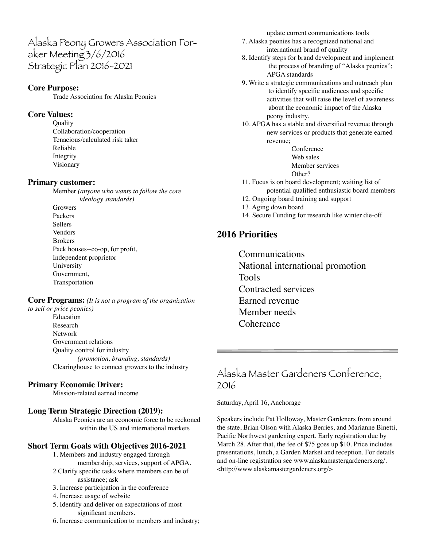Alaska Peony Growers Association Foraker Meeting 3/6/2016 Strategic Plan 2016-2021

#### **Core Purpose:**

Trade Association for Alaska Peonies

#### **Core Values:**

**Quality** Collaboration/cooperation Tenacious/calculated risk taker Reliable Integrity Visionary

#### **Primary customer:**

Member *(anyone who wants to follow the core ideology standards)*  Growers Packers Sellers Vendors Brokers Pack houses--co-op, for profit, Independent proprietor University Government, Transportation

**Core Programs:** *(It is not a program of the organization to sell or price peonies)*

Education Research Network Government relations Quality control for industry *(promotion, branding, standards)* Clearinghouse to connect growers to the industry

#### **Primary Economic Driver:**

Mission-related earned income

#### **Long Term Strategic Direction (2019):**

Alaska Peonies are an economic force to be reckoned within the US and international markets

#### **Short Term Goals with Objectives 2016-2021**

- 1. Members and industry engaged through membership, services, support of APGA.
- 2 Clarify specific tasks where members can be of assistance; ask
- 3. Increase participation in the conference
- 4. Increase usage of website
- 5. Identify and deliver on expectations of most significant members.
- 6. Increase communication to members and industry;

update current communications tools

- 7. Alaska peonies has a recognized national and international brand of quality
- 8. Identify steps for brand development and implement the process of branding of "Alaska peonies"; APGA standards
- 9. Write a strategic communications and outreach plan to identify specific audiences and specific activities that will raise the level of awareness about the economic impact of the Alaska peony industry.
- 10. APGA has a stable and diversified revenue through new services or products that generate earned revenue;

Conference Web sales Member services Other?

- 11. Focus is on board development; waiting list of potential qualified enthusiastic board members
- 12. Ongoing board training and support
- 13. Aging down board
- 14. Secure Funding for research like winter die-off

#### **2016 Priorities**

Communications National international promotion Tools Contracted services Earned revenue Member needs **Coherence** 

#### Alaska Master Gardeners Conference, 2016

Saturday, April 16, Anchorage

Speakers include Pat Holloway, Master Gardeners from around the state, Brian Olson with Alaska Berries, and Marianne Binetti, Pacific Northwest gardening expert. Early registration due by March 28. After that, the fee of \$75 goes up \$10. Price includes presentations, lunch, a Garden Market and reception. For details and on-line registration see www.alaskamastergardeners.org/. <http://www.alaskamastergardeners.org/>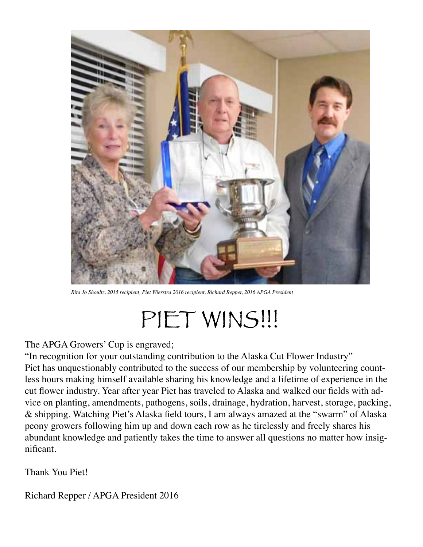

*Rita Jo Shoultz, 2015 recipient, Piet Wierstra 2016 recipient, Richard Repper, 2016 APGA President*

# PIET WINS!!!

The APGA Growers' Cup is engraved;

"In recognition for your outstanding contribution to the Alaska Cut Flower Industry" Piet has unquestionably contributed to the success of our membership by volunteering countless hours making himself available sharing his knowledge and a lifetime of experience in the cut flower industry. Year after year Piet has traveled to Alaska and walked our fields with advice on planting, amendments, pathogens, soils, drainage, hydration, harvest, storage, packing, & shipping. Watching Piet's Alaska field tours, I am always amazed at the "swarm" of Alaska peony growers following him up and down each row as he tirelessly and freely shares his abundant knowledge and patiently takes the time to answer all questions no matter how insignificant.

Thank You Piet!

Richard Repper / APGA President 2016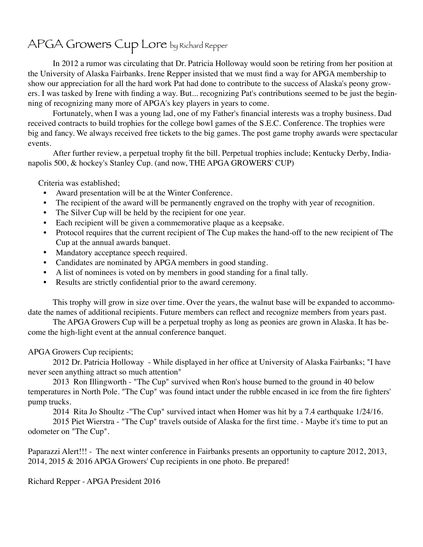### APGA Growers Cup Lore by Richard Repper

In 2012 a rumor was circulating that Dr. Patricia Holloway would soon be retiring from her position at the University of Alaska Fairbanks. Irene Repper insisted that we must find a way for APGA membership to show our appreciation for all the hard work Pat had done to contribute to the success of Alaska's peony growers. I was tasked by Irene with finding a way. But... recognizing Pat's contributions seemed to be just the beginning of recognizing many more of APGA's key players in years to come.

Fortunately, when I was a young lad, one of my Father's financial interests was a trophy business. Dad received contracts to build trophies for the college bowl games of the S.E.C. Conference. The trophies were big and fancy. We always received free tickets to the big games. The post game trophy awards were spectacular events.

After further review, a perpetual trophy fit the bill. Perpetual trophies include; Kentucky Derby, Indianapolis 500, & hockey's Stanley Cup. (and now, THE APGA GROWERS' CUP)

Criteria was established;

- Award presentation will be at the Winter Conference.
- The recipient of the award will be permanently engraved on the trophy with year of recognition.
- The Silver Cup will be held by the recipient for one year.
- Each recipient will be given a commemorative plaque as a keepsake.
- Protocol requires that the current recipient of The Cup makes the hand-off to the new recipient of The Cup at the annual awards banquet.
- Mandatory acceptance speech required.
- Candidates are nominated by APGA members in good standing.
- A list of nominees is voted on by members in good standing for a final tally.
- Results are strictly confidential prior to the award ceremony.

This trophy will grow in size over time. Over the years, the walnut base will be expanded to accommodate the names of additional recipients. Future members can reflect and recognize members from years past.

The APGA Growers Cup will be a perpetual trophy as long as peonies are grown in Alaska. It has become the high-light event at the annual conference banquet.

APGA Growers Cup recipients;

2012 Dr. Patricia Holloway - While displayed in her office at University of Alaska Fairbanks; "I have never seen anything attract so much attention"

2013 Ron Illingworth - "The Cup" survived when Ron's house burned to the ground in 40 below temperatures in North Pole. "The Cup" was found intact under the rubble encased in ice from the fire fighters' pump trucks.

2014 Rita Jo Shoultz -"The Cup" survived intact when Homer was hit by a 7.4 earthquake 1/24/16.

2015 Piet Wierstra - "The Cup" travels outside of Alaska for the first time. - Maybe it's time to put an odometer on "The Cup".

Paparazzi Alert!!! - The next winter conference in Fairbanks presents an opportunity to capture 2012, 2013, 2014, 2015 & 2016 APGA Growers' Cup recipients in one photo. Be prepared!

Richard Repper - APGA President 2016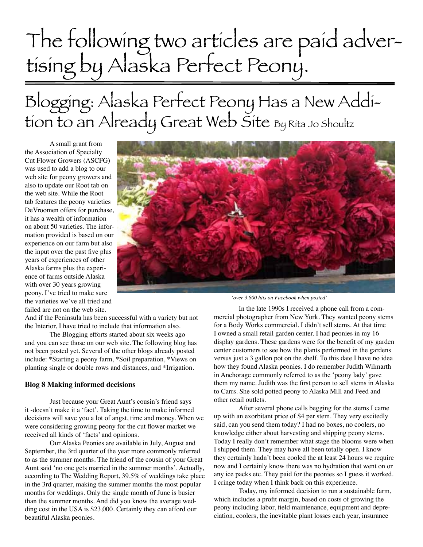# The following two articles are paid advertising by Alaska Perfect Peony.

## Blogging: Alaska Perfect Peony Has a New Addition to an Already Great Web Site By Rita Jo Shoultz

A small grant from the Association of Specialty Cut Flower Growers (ASCFG) was used to add a blog to our web site for peony growers and also to update our Root tab on the web site. While the Root tab features the peony varieties DeVroomen offers for purchase, it has a wealth of information on about 50 varieties. The information provided is based on our experience on our farm but also the input over the past five plus years of experiences of other Alaska farms plus the experience of farms outside Alaska with over 30 years growing peony. I've tried to make sure the varieties we've all tried and failed are not on the web site.



And if the Peninsula has been successful with a variety but not the Interior, I have tried to include that information also.

The Blogging efforts started about six weeks ago and you can see those on our web site. The following blog has not been posted yet. Several of the other blogs already posted include: \*Starting a peony farm, \*Soil preparation, \*Views on planting single or double rows and distances, and \*Irrigation.

#### **Blog 8 Making informed decisions**

Just because your Great Aunt's cousin's friend says it -doesn't make it a 'fact'. Taking the time to make informed decisions will save you a lot of angst, time and money. When we were considering growing peony for the cut flower market we received all kinds of 'facts' and opinions.

Our Alaska Peonies are available in July, August and September, the 3rd quarter of the year more commonly referred to as the summer months. The friend of the cousin of your Great Aunt said 'no one gets married in the summer months'. Actually, according to The Wedding Report, 39.5% of weddings take place in the 3rd quarter, making the summer months the most popular months for weddings. Only the single month of June is busier than the summer months. And did you know the average wedding cost in the USA is \$23,000. Certainly they can afford our beautiful Alaska peonies.

*'over 3,800 hits on Facebook when posted'*

In the late 1990s I received a phone call from a commercial photographer from New York. They wanted peony stems for a Body Works commercial. I didn't sell stems. At that time I owned a small retail garden center. I had peonies in my 16 display gardens. These gardens were for the benefit of my garden center customers to see how the plants performed in the gardens versus just a 3 gallon pot on the shelf. To this date I have no idea how they found Alaska peonies. I do remember Judith Wilmarth in Anchorage commonly referred to as the 'peony lady' gave them my name. Judith was the first person to sell stems in Alaska to Carrs. She sold potted peony to Alaska Mill and Feed and other retail outlets.

After several phone calls begging for the stems I came up with an exorbitant price of \$4 per stem. They very excitedly said, can you send them today? I had no boxes, no coolers, no knowledge either about harvesting and shipping peony stems. Today I really don't remember what stage the blooms were when I shipped them. They may have all been totally open. I know they certainly hadn't been cooled the at least 24 hours we require now and I certainly know there was no hydration that went on or any ice packs etc. They paid for the peonies so I guess it worked. I cringe today when I think back on this experience.

Today, my informed decision to run a sustainable farm, which includes a profit margin, based on costs of growing the peony including labor, field maintenance, equipment and depreciation, coolers, the inevitable plant losses each year, insurance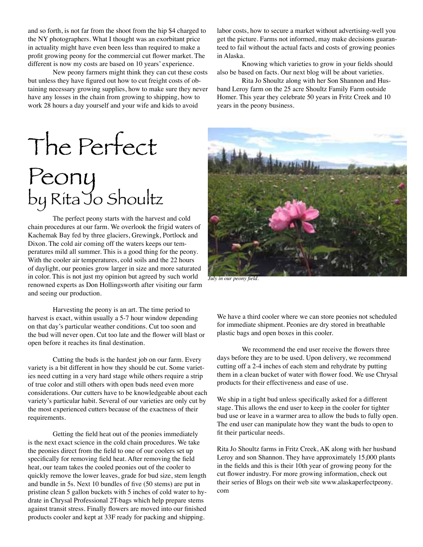and so forth, is not far from the shoot from the hip \$4 charged to the NY photographers. What I thought was an exorbitant price in actuality might have even been less than required to make a profit growing peony for the commercial cut flower market. The different is now my costs are based on 10 years' experience.

New peony farmers might think they can cut these costs but unless they have figured out how to cut freight costs of obtaining necessary growing supplies, how to make sure they never have any losses in the chain from growing to shipping, how to work 28 hours a day yourself and your wife and kids to avoid

labor costs, how to secure a market without advertising-well you get the picture. Farms not informed, may make decisions guaranteed to fail without the actual facts and costs of growing peonies in Alaska.

Knowing which varieties to grow in your fields should also be based on facts. Our next blog will be about varieties.

Rita Jo Shoultz along with her Son Shannon and Husband Leroy farm on the 25 acre Shoultz Family Farm outside Homer. This year they celebrate 50 years in Fritz Creek and 10 years in the peony business.

# The Perfect Peony by Rita Jo Shoultz

The perfect peony starts with the harvest and cold chain procedures at our farm. We overlook the frigid waters of Kachemak Bay fed by three glaciers, Grewingk, Portlock and Dixon. The cold air coming off the waters keeps our temperatures mild all summer. This is a good thing for the peony. With the cooler air temperatures, cold soils and the 22 hours of daylight, our peonies grow larger in size and more saturated in color. This is not just my opinion but agreed by such world renowned experts as Don Hollingsworth after visiting our farm and seeing our production.

Harvesting the peony is an art. The time period to harvest is exact, within usually a 5-7 hour window depending on that day's particular weather conditions. Cut too soon and the bud will never open. Cut too late and the flower will blast or open before it reaches its final destination.

Cutting the buds is the hardest job on our farm. Every variety is a bit different in how they should be cut. Some varieties need cutting in a very hard stage while others require a strip of true color and still others with open buds need even more considerations. Our cutters have to be knowledgeable about each variety's particular habit. Several of our varieties are only cut by the most experienced cutters because of the exactness of their requirements.

Getting the field heat out of the peonies immediately is the next exact science in the cold chain procedures. We take the peonies direct from the field to one of our coolers set up specifically for removing field heat. After removing the field heat, our team takes the cooled peonies out of the cooler to quickly remove the lower leaves, grade for bud size, stem length and bundle in 5s. Next 10 bundles of five (50 stems) are put in pristine clean 5 gallon buckets with 5 inches of cold water to hydrate in Chrysal Professional 2T-bags which help prepare stems against transit stress. Finally flowers are moved into our finished products cooler and kept at 33F ready for packing and shipping.



*July in our peony field.*

We have a third cooler where we can store peonies not scheduled for immediate shipment. Peonies are dry stored in breathable plastic bags and open boxes in this cooler.

We recommend the end user receive the flowers three days before they are to be used. Upon delivery, we recommend cutting off a 2-4 inches of each stem and rehydrate by putting them in a clean bucket of water with flower food. We use Chrysal products for their effectiveness and ease of use.

We ship in a tight bud unless specifically asked for a different stage. This allows the end user to keep in the cooler for tighter bud use or leave in a warmer area to allow the buds to fully open. The end user can manipulate how they want the buds to open to fit their particular needs.

Rita Jo Shoultz farms in Fritz Creek, AK along with her husband Leroy and son Shannon. They have approximately 15,000 plants in the fields and this is their 10th year of growing peony for the cut flower industry. For more growing information, check out their series of Blogs on their web site www.alaskaperfectpeony. com